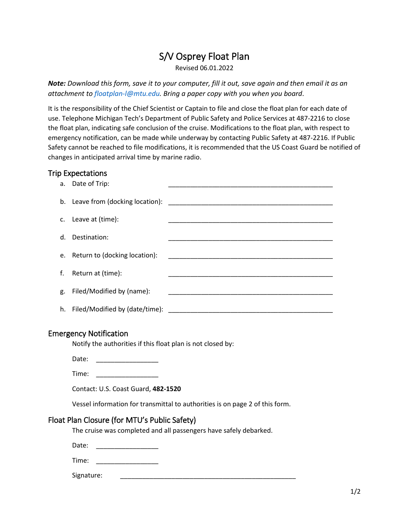# S/V Osprey Float Plan

Revised 06.01.2022

*Note: Download this form, save it to your computer, fill it out, save again and then email it as an attachment to floatplan-l@mtu.edu. Bring a paper copy with you when you board*.

It is the responsibility of the Chief Scientist or Captain to file and close the float plan for each date of use. Telephone Michigan Tech's Department of Public Safety and Police Services at 487-2216 to close the float plan, indicating safe conclusion of the cruise. Modifications to the float plan, with respect to emergency notification, can be made while underway by contacting Public Safety at 487-2216. If Public Safety cannot be reached to file modifications, it is recommended that the US Coast Guard be notified of changes in anticipated arrival time by marine radio.

## Trip Expectations

|    | a. Date of Trip:                 |                                                                                                                        |
|----|----------------------------------|------------------------------------------------------------------------------------------------------------------------|
|    |                                  |                                                                                                                        |
|    | c. Leave at (time):              |                                                                                                                        |
|    | d. Destination:                  |                                                                                                                        |
|    | e. Return to (docking location): | <u> 1980 - Jan James James Jan James James James James James James James James James James James James James James</u> |
|    | f. Return at (time):             |                                                                                                                        |
| g. | Filed/Modified by (name):        |                                                                                                                        |
|    |                                  |                                                                                                                        |

# Emergency Notification

Notify the authorities if this float plan is not closed by:

Date: \_\_\_\_\_\_\_\_\_\_\_\_\_\_\_\_\_

Time: \_\_\_\_\_\_\_\_\_\_\_\_\_\_\_\_\_

Contact: U.S. Coast Guard, **482-1520**

Vessel information for transmittal to authorities is on page 2 of this form.

#### Float Plan Closure (for MTU's Public Safety)

The cruise was completed and all passengers have safely debarked.

Date:

Time: \_\_\_\_\_\_\_\_\_\_\_\_\_\_\_\_\_\_\_\_\_\_\_\_

Signature: